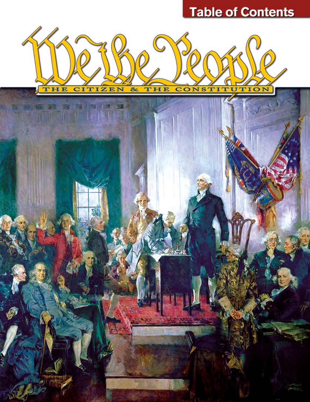# **Table of Contents**

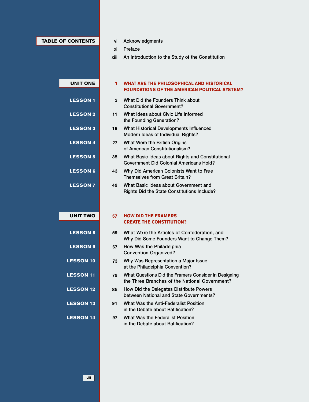## **TABLE OF CONTENTS**

- vi Acknowledgments
- xi Preface
- An Introduction to the Study of the Constitution xiii

| <b>UNIT ONE</b>  | 1  | WHAT ARE THE PHILOSOPHICAL AND HISTORICAL<br><b>FOUNDATIONS OF THE AMERICAN POLITICAL SYSTEM?</b>      |
|------------------|----|--------------------------------------------------------------------------------------------------------|
| <b>LESSON1</b>   | 3  | What Did the Founders Think about<br><b>Constitutional Government?</b>                                 |
| <b>LESSON 2</b>  | 11 | What Ideas about Civic Life Informed<br>the Founding Generation?                                       |
| <b>LESSON3</b>   | 19 | What Historical Developments Influenced<br>Modern Ideas of Individual Rights?                          |
| <b>LESSON 4</b>  | 27 | What Were the British Origins<br>of American Constitutionalism?                                        |
| <b>LESSON 5</b>  | 35 | What Basic Ideas about Rights and Constitutional<br><b>Government Did Colonial Americans Hold?</b>     |
| <b>LESSON 6</b>  | 43 | Why Did American Colonists Want to Free<br>Themselves from Great Britain?                              |
| <b>LESSON7</b>   | 49 | What Basic Ideas about Government and<br><b>Rights Did the State Constitutions Include?</b>            |
|                  |    |                                                                                                        |
| <b>UNIT TWO</b>  | 57 | <b>HOW DID THE FRAMERS</b><br><b>CREATE THE CONSTITUTION?</b>                                          |
| <b>LESSON 8</b>  | 59 | What We re the Articles of Confederation, and<br>Why Did Some Founders Want to Change Them?            |
| <b>LESSON 9</b>  | 67 | How Was the Philadelphia<br><b>Convention Organized?</b>                                               |
| <b>LESSON 10</b> | 73 | Why Was Representation a Major Issue<br>at the Philadelphia Convention?                                |
| <b>LESSON 11</b> | 79 | What Questions Did the Framers Consider in Designing<br>the Three Branches of the National Government? |
| <b>LESSON 12</b> | 85 | How Did the Delegates Distribute Powers<br>between National and State Governments?                     |
| <b>LESSON 13</b> | 91 | What Was the Anti-Federalist Position<br>in the Debate about Ratification?                             |
| <b>LESSON 14</b> | 97 | What Was the Federalist Position<br>in the Debate about Ratification?                                  |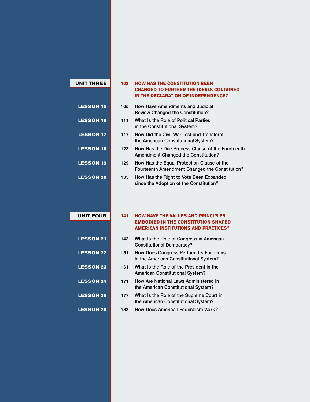| <b>LESSON 15</b> |
|------------------|
| <b>LESSON 16</b> |
| <b>LESSON 17</b> |
| <b>LESSON 18</b> |
| <b>LESSON 19</b> |
| <b>LESSON 20</b> |
|                  |
|                  |
|                  |

**UNIT THREE**

#### **HOW HAS THE CONSTITUTION BEEN CHANGED TO FURTHER THE IDEALS CONTAINED IN THE DECLARATION OF INDEPENDENCE? 103**

- How Have Amendments and Judicial Review Changed the Constitution? 105
- What Is the Role of Political Parties in the Constitutional System? 111
- How Did the Civil War Test and Transform the American Constitutional System? 117
- How Has the Due Process Clause of the Fourteenth Amendment Changed the Constitution? 123
- How Has the Equal Protection Clause of the Fourteenth Amendment Changed the Constitution? 129
- How Has the Right to Vote Been Expanded since the Adoption of the Constitution? 135

### **UNIT FOUR**

**LESSON 21**

**LESSON 22**

**LESSON 23**

**LESSON 24**

**LESSON 25**

**LESSON 26**

#### **HOW HAVE THE VALUES AND PRINCIPLES EMBODIED IN THE CONSTITUTION SHAPED AMERICAN INSTITUTIONS AND PRACTICES? 141**

- What Is the Role of Congress in American 143 Constitutional Democracy?
- How Does Congress Perform Its Functions in the American Constitutional System? 151
- What Is the Role of the President in the American Constitutional System? 161
- How Are National Laws Administered in the American Constitutional System? 171
- What Is the Role of the Supreme Court in the American Constitutional System? 177
- How Does American Federalism Work? 183